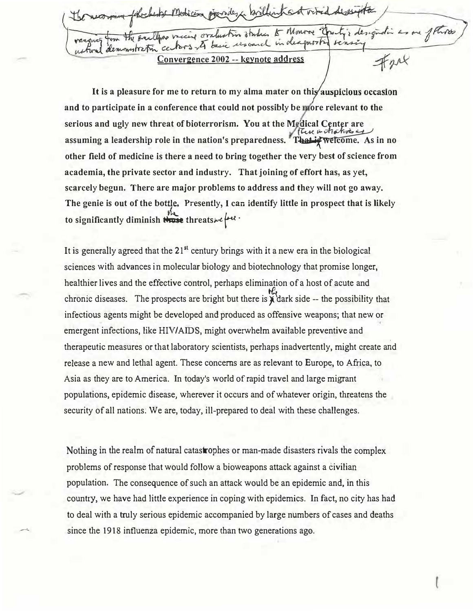the smallens raccine ora proofi soarch indea mytratin ce **Convergence 2002 -- keynote address** 

It is a pleasure for me to return to my alma mater on this auspicious occasion **and to participate in a conference that could not possibly be ore relevant to the**  serious and ugly new threat of bioterrorism. You at the Medical Center are<br>**assuming a leadership role in the nation's preparedness.** That is welcome. As in no **other field of medicine is there a need to bring together the very best of science from academia, the private sector and industry. That joining of effort has, as yet, scarcely begun. There are major problems to address and they will not go away. The genie is out of the bottle. Presently, I can identify little in prospect that is likely** � to significantly diminish threats we let a .

It is generally agreed that the 21**st** century brings with it a new era in the biological sciences with advances in molecular biology and biotechnology that promise longer, healthier lives and the effective control, perhaps elimination of a host of acute and chronic diseases. The prospects are bright but there is  $\chi$  dark side -- the possibility that infectious agents might be developed and produced as offensive weapons; that new or emergent infections, like HIV/AIDS, might overwhelm available preventive and therapeutic measures or that laboratory scientists, perhaps inadvertently, might create a�d release a new and lethal agent. These concerns are as relevant to Europe, to Africa, to Asia as they are to America. In today's world of rapid travel and large migrant populations, epidemic disease, wherever it occurs and of whatever origin, threatens the security of all nations. We are, today, ill-prepared to deal with these challenges.

Nothing in the realm of natural catastrophes or man-made disasters rivals the complex problems of response that would follow a bioweapons attack against a civilian population. The consequence of such an attack would be an epidemic and, in this country, we have had little experience in coping with epidemics. In fact, no city has had to deal with a truly serious epidemic accompanied by large numbers of cases and deaths since the 1918 influenza epidemic, more than two generations ago.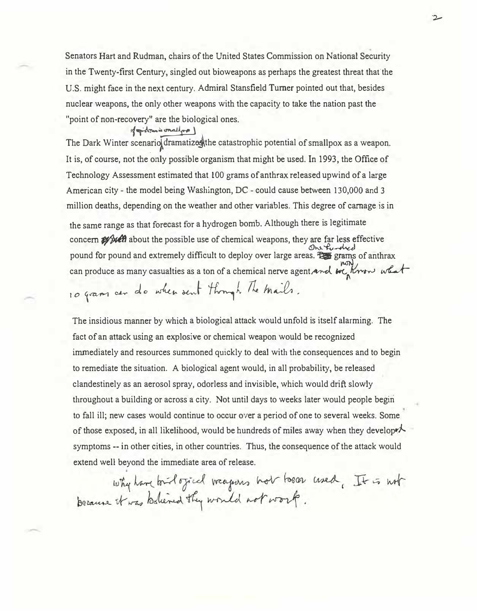Senators Hart and Rudman, chairs of the United States Commission on National Security in the Twenty-first Century, singled out bioweapons as perhaps the greatest threat that the U.S. might face in the next century. Admiral Stansfield Turner pointed out that, besides nuclear weapons, the only other weapons with the capacity to take the nation past the "point of non-recovery" are the biological ones.

## of gidness onallow )

The Dark Winter scenario dramatizes the catastrophic potential of smallpox as a weapon. It is, of course, not the only possible organism that might be used. In 1993, the Office of Technology Assessment estimated that 100 grams of anthrax released upwind of a large American city - the model being Washington, DC - could cause between 130,000 and 3 million deaths, depending on the weather and other variables. This degree of carnage is in the same range as that forecast for a hydrogen bomb. Although there is legitimate concern **as well** about the possible use of chemical weapons, they are far less effective<br>One funded pound for pound and extremely difficult to deploy over large areas.  $\overline{f}$  grams of anthrax can produce as many casualties as a ton of a chemical nerve agent and  $w\epsilon_n$ Krow what

10 gram cer do when sent through The mails.

The insidious manner by which a biological attack would unfold is itself alarming. The fact of an attack using an explosive or chemical weapon would be recognized immediately and resources summoned quickly to deal with the consequences and to begin to remediate the situation. A biological agent would, in all probability, be released clandestinely as an aerosol spray, odorless and invisible, which would drift slowly throughout a building or across a city. Not until days to weeks later would people begin to fall ill; new cases would continue to occur over a period of one to several weeks. Some of those exposed, in all likelihood, would be hundreds of miles away when they develope $\lambda$ . symptoms -- in other cities, in other countries. Thus, the consequence of the attack would extend well beyond the immediate area of release.

why have tout officed weapons not boom used, It is not because it was believed they would not work.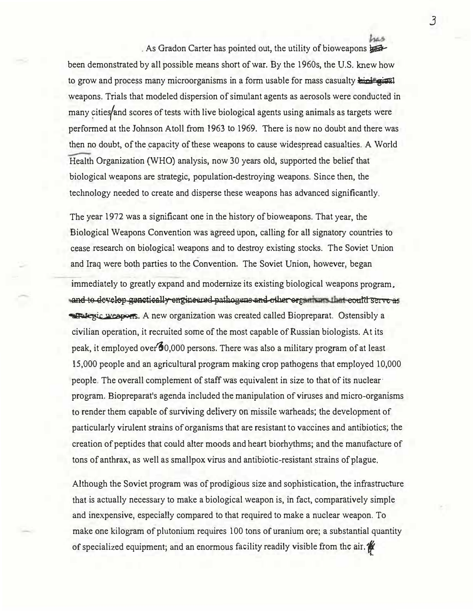. As Gradon Carter has pointed out, the utility of bioweapons  $\frac{1}{2}$ 

been demonstrated by all possible means short of war. By the 1960s, the U.S. knew how to grow and process many microorganisms in a form usable for mass casualty high given weapons. Trials that modeled dispersion of simulant agents as aerosols were conducted in many cities/and scores of tests with live biological agents using animals as targets were performed at the Johnson Atoll from 1963 to 1969. There is now no doubt and there was then no doubt, of the capacity of these weapons to cause widespread casualties. A World Health Organization (WHO) analysis, now 30 years old, supported the belief that biological weapons are strategic, population-destroying weapons. Since then, the technology needed to create and disperse these weapons has advanced significantly,

The year 1972 was a significant one in the history of bioweapons. That year, the Biological Weapons Convention was agreed upon, calling for all signatory countries to cease research on biological weapons and to destroy existing stocks. The Soviet Union and Iraq were both parties to the Convention. The Soviet Union, however, began

immediately to greatly expand and modernize its existing biological weapons program. and to develop genetically engineered pathogens and other organisms that could serve as **A Take Rice Weapons.** A new organization was created called Biopreparat. Ostensibly a civilian operation, it recruited some of the most capable of Russian biologists. At its peak, it employed over  $60,000$  persons. There was also a military program of at least 15,000 people and an agricultural program making crop pathogens that employed 10,000 people. The overall complement of staff was equivalent in size to that of its nuclear· program. Biopreparat's agenda included the manipulation of viruses and micro-organisms to render them capable of surviving delivery on missile warheads; the development of particularly virulent strains of organisms that are resistant to vaccines and antibiotics; the creation of peptides that could alter moods and heart biorhythms; and the manufacture of tons of anthrax, as well as smallpox virus and antibiotic-resistant strains of plague.

Although the Soviet program was of prodigious size and sophistication, the infrastructure that is actually necessary to make a biological weapon is, in fact, comparatively simple and inexpensive, especially compared to that required to make a nuclear weapon. To make one kilogram of plutonium requires 100 tons of uranium ore; a substantial quantity of specialized equipment; and an enormous facility readily visible from the air. *f* 

*3*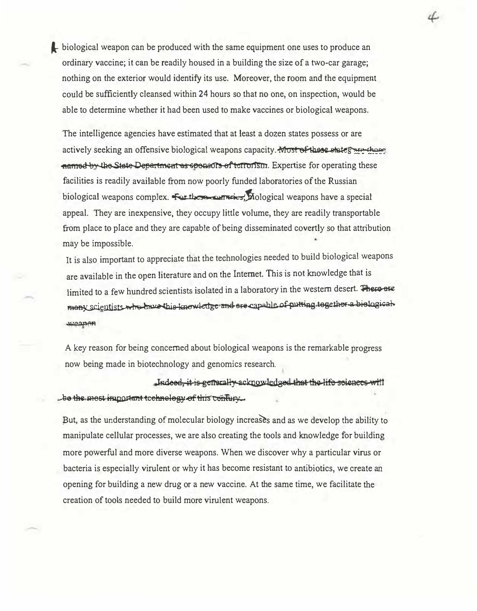biological weapon can be produced with the same equipment one uses to produce an ordinary vaccine; it can be readily housed in a building the size of a two-car garage; nothing on the exterior would identify its use. Moreover, the room and the equipment could be sufficiently cleansed within 24 hours so that no one, on inspection, would be able to determine whether it had been used to make vaccines or biological weapons.

4

The intelligence agencies have estimated that at least a dozen states possess or are actively seeking an offensive biological weapons capacity. Must of these states are those named by the State Department as speakors of terrorism. Expertise for operating these facilities is readily available from now poorly funded laboratories of the Russian biological weapons complex. For these corrects, Mological weapons have a special appeal. They are inexpensive, they occupy little volume, they are readily transportable from place to place and they are capable of being disseminated covertly so that attribution may be impossible.

It is also important to appreciate that the technologies needed to build biological weapons are available in the open literature and on the Internet. This is not knowledge that is limited to a few hundred scientists isolated in a laboratory in the western desert. There are many scientists who have this knowledge and are capable of putting together a biological шезреп

A key reason for being concerned about biological weapons is the remarkable progress now being made in biotechnology and genomics research.

Indeed, it is generally acknowledged that the life sciences will be the most important technology of this confury.

But, as the understanding of molecular biology increases and as we develop the ability to manipulate cellular processes, we are also creating the tools and knowledge for building more powerful and more diverse weapons. When we discover why a particular virus or bacteria is especially virulent or why it has become resistant to antibiotics, we create an opening for building a new drug or a new vaccine. At the same time, we facilitate the creation of tools needed to build more virulent weapons.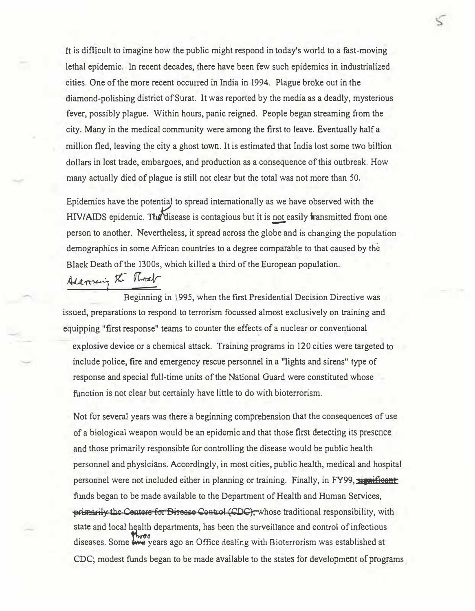It is difficult to imagine how the public might respond in today's world to a fast-moving lethal epidemic. In recent decades, there have been few such epidemics in industrialized cities. One of the more recent occurred in India in 1994. Plague broke out in the diamond-polishing district of Surat. It was reported by the media as a deadly, mysterious fever, possibly plague. Within hours, panic reigned. People began streaming from the city. Many in the medical community were among the first to leave. Eventually half a million fled, leaving the city a ghost town. It is estimated that India lost some two billion dollars in lost trade, embargoes, and production as a consequence of this outbreak. How many actually died of plague is still not clear but the total was not more than 50.

Epidemics have the potential to spread internationally as we have observed with the HIV/AIDS epidemic. The disease is contagious but it is not easily transmitted from one person to another. Nevertheless, it spread across the globe and is changing the population demographics in some African countries to a degree comparable to that caused by the Black Death of the 1300s, which killed a third of the European population.

Adaresing the Road

Beginning in 1995, when the first Presidential Decision Directive was issued, preparations to respond to terrorism focussed almost exclusively on training and equipping "first response" teams to counter the effects of a nuclear or conventional explosive device or a chemical attack. Training programs in 120 cities were targeted to include police, fire and emergency rescue personnel in a "lights and sirens" type of response and special full-time units of the National Guard were constituted whose function is not clear but certainly have little to do with bioterrorism.

Not for several years was there a beginning comprehension that the consequences of use of a biological weapon would be an epidemic and that those first detecting its presence and those primarily responsible for controlling the disease would be public health personnel and physicians. Accordingly, in most cities, public health, medical and hospital personnel were not included either in planning or training. Finally, in FY99, significant funds began to be made available to the Department of Health and Human Services, primarily the Centers for Disease Centrol (CDC), whose traditional responsibility, with state and local health departments, has been the surveillance and control of infectious diseases. Some wears ago an Office dealing with Bioterrorism was established at CDC; modest funds began to be made available to the states for development of programs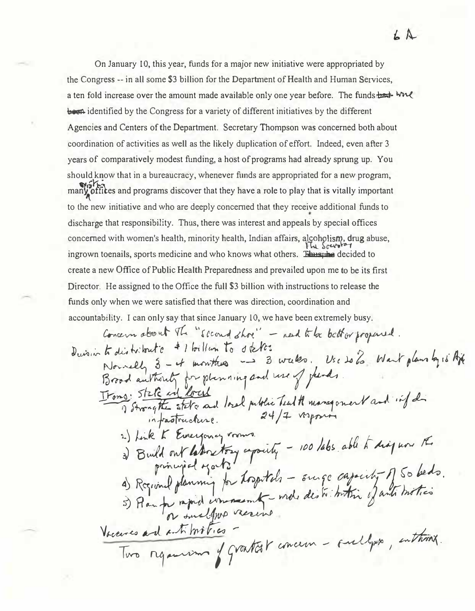On January 10, this year, funds for a major new initiative were appropriated by the Congress -- in all some \$3 billion for the Department of Health and Human Services, a ten fold increase over the amount made available only one year before. The funds had will been identified by the Congress for a variety of different initiatives by the different Agencies and Centers of the Department. Secretary Thompson was concerned both about coordination of activities as well as the likely duplication of effort. Indeed, even after 3 years of comparatively modest funding, a host of programs had already sprung up. You should know that in a bureaucracy, whenever funds are appropriated for a new program, many offices and programs discover that they have a role to play that is vitally important to the new initiative and who are deeply concerned that they receive additional funds to discharge that responsibility. Thus, there was interest and appeals by special offices concerned with women's health, minority health, Indian affairs, alcoholism, drug abuse, ingrown toenails, sports medicine and who knows what others. Thus, he decided to create a new Office of Public Health Preparedness and prevailed upon me to be its first Director. He assigned to the Office the full \$3 billion with instructions to release the funds only when we were satisfied that there was direction, coordination and accountability. I can only say that since January 10, we have been extremely busy.

Concern about The "second shoe" - need to be better propered. Durain to distribute # 1 billion to stelles Nouvelly 3 - it monthes - 3 wakes. Use to 2 Want plans by 16 Af Itons: State and local local public Teat A management and inf di 2) Link K Evergoncy rooms. 3) Build out laboratory expactly - 100 labs able to diagnone the a) Rogional planning for hospitals - surge capity of 50 beds.<br>5) Plan for rapid commemt - mode destribution of anti-motion Vacances and anti motion. Two requirements of grantest concern - sully , enthus.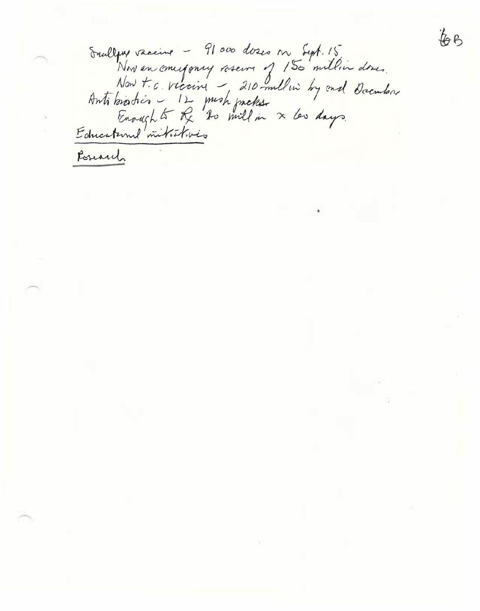Sullywe vaccine - 91000 doses on Sept. 15<br>Now t.c. viccine - 210 millin by ond December<br>Now t.c. viccine - 210 millin by ond December<br>Antibodotion - 12 mich prebes.<br>Educational mitritivies

60

Posesich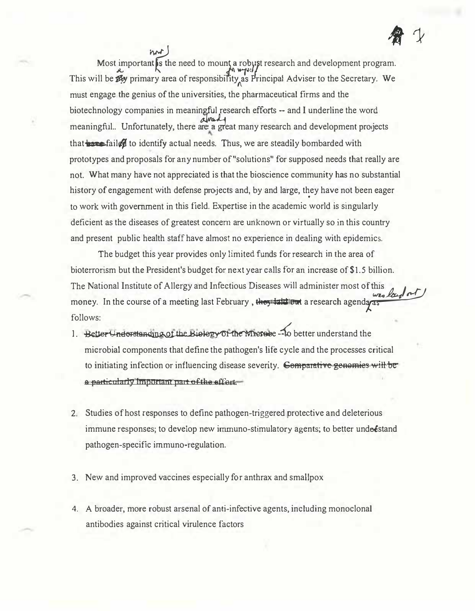Most important is the need to mount a robust research and development program.<br>This will be  $\mathbb{Z}$ y primary area of responsibility as Principal Adviser to the Secretary. We must engage the genius of the universities, the pharmaceutical firms and the biotechnology companies in meaningful research efforts -- and I underline the word meaningful.. Unfortunately, there are a great many research and development projects that **the failed** to identify actual needs. Thus, we are steadily bombarded with prototypes and proposals for any number of "solutions" for supposed needs that really are not. What many have not appreciated is that the bioscience community has no substantial history of engagement with defense projects and, by and large, they have not been eager to work with government in this field. Expertise in the academic world is singularly deficient as the diseases of greatest concern are unknown or virtually so in this country and present public health staff have almost no experience in dealing with epidemics.

The budget this year provides only limited funds for research in the area of bioterrorism but the President's budget for next year calls for an increase of \$1.5 billion. The National Institute of Allergy and Infectious Diseases will administer most of this money. In the course of a meeting last February, they take out a research agenday as follows:

- 1. Better Understanding of the Biology Of the Microse to better understand the microbial components that define the pathogen's life cycle and the processes critical to initiating infection or influencing disease severity. Comparative genemies will be a particularly important part of the effect.
- 2. Studies of host responses to define pathogen-triggered protective and deleterious immune responses; to develop new immuno-stimulatory agents; to better undestand pathogen-specific immuno-regulation.
- 3. New and improved vaccines especially for anthrax and smallpox
- 4. A broader, more robust arsenal of anti-infective agents, including monoclonal antibodies against critical virulence factors